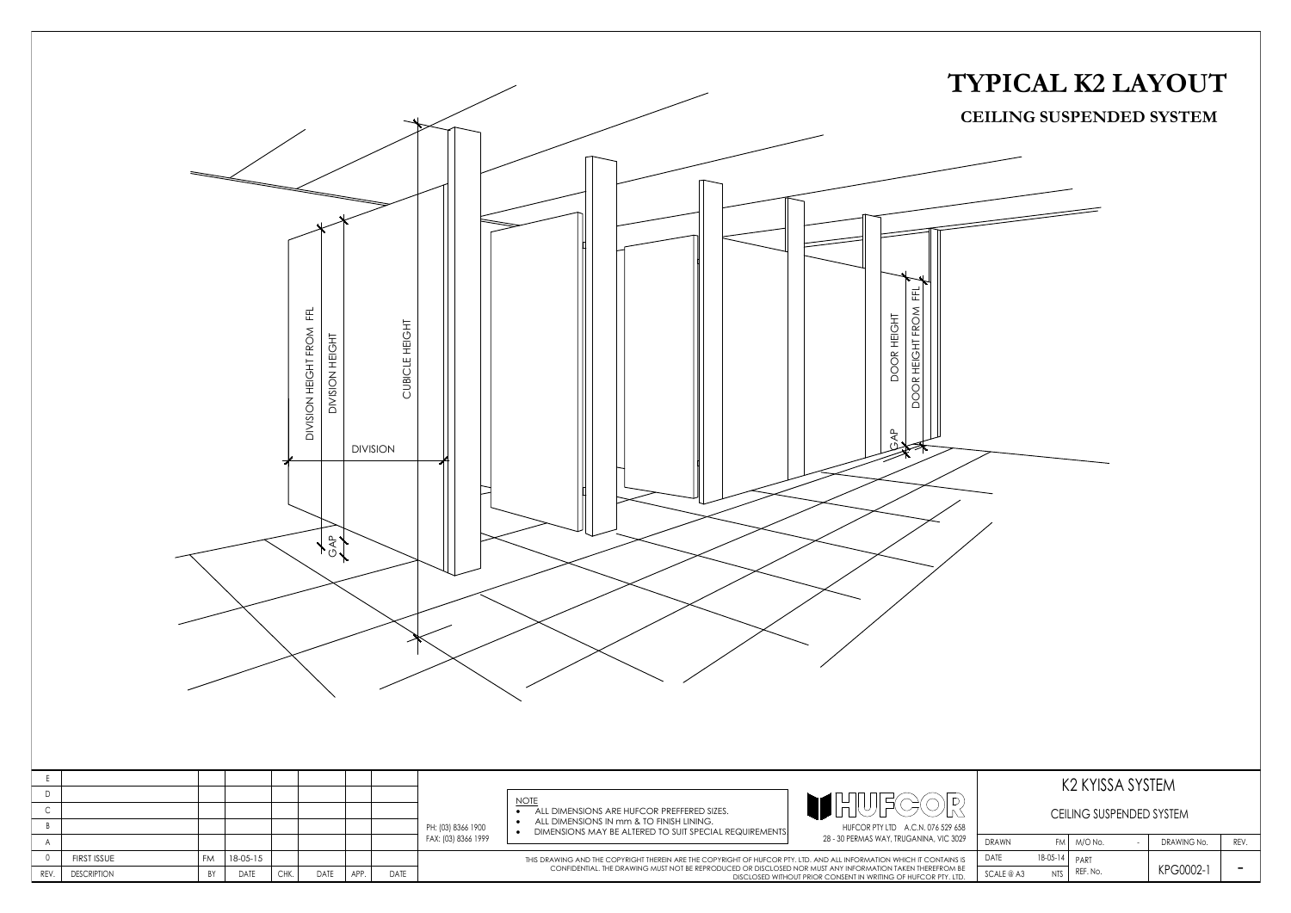| CEILING SUSPENDED SYSTEM |            |          |  |             |      |  |  |  |  |  |
|--------------------------|------------|----------|--|-------------|------|--|--|--|--|--|
| DRAWN                    | FM.        | M/O No.  |  | DRAWING No. | REV. |  |  |  |  |  |
| <b>DATE</b>              | 18-05-14   | PART     |  |             |      |  |  |  |  |  |
| SCALE@A3                 | <b>NTS</b> | REF. No. |  | KPG0002-1   |      |  |  |  |  |  |



# **TYPICAL K2 LAYOUT CEILING SUSPENDED SYSTEM**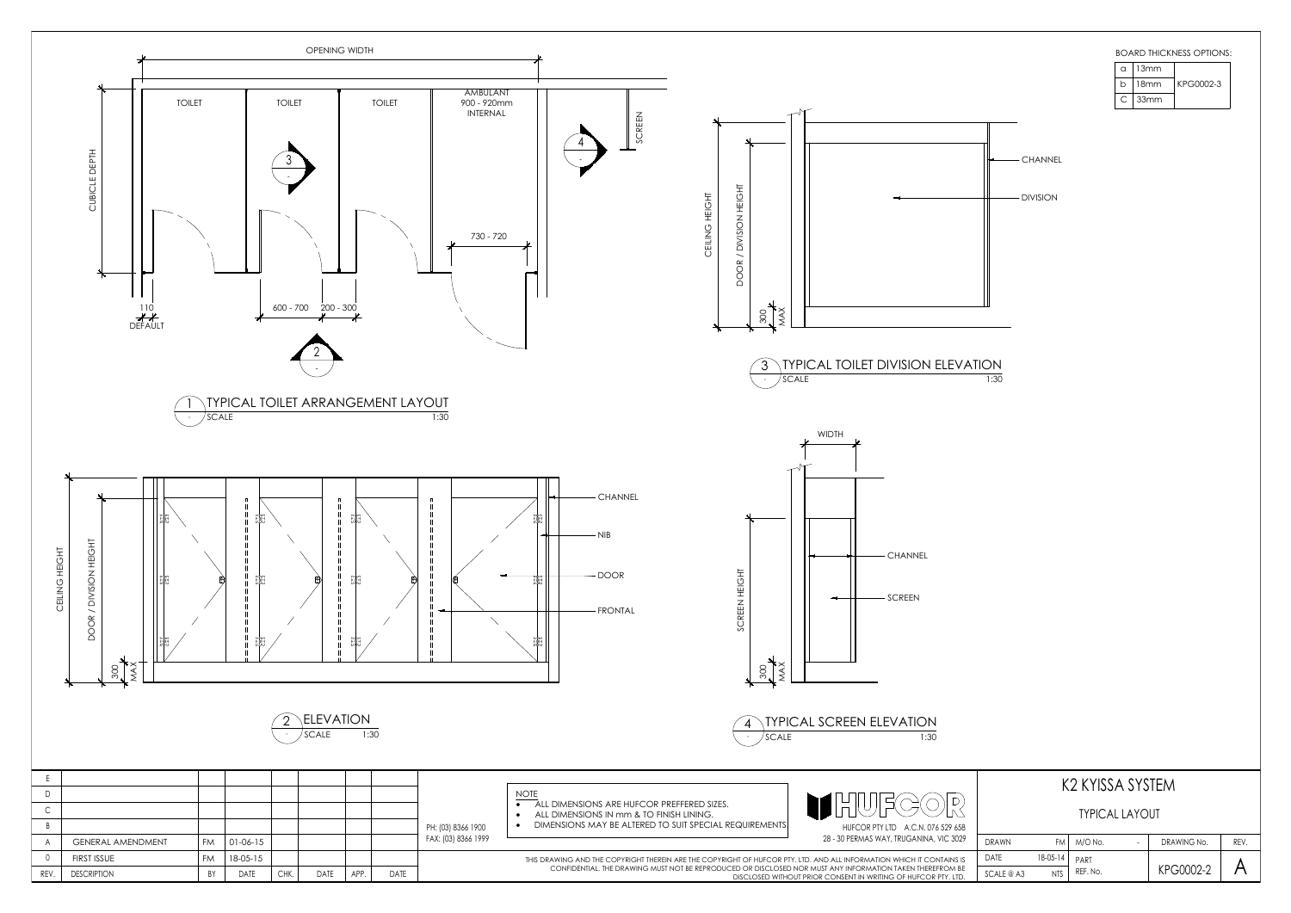| K2 KYISSA SYSTEM      |            |          |  |             |      |  |  |  |  |
|-----------------------|------------|----------|--|-------------|------|--|--|--|--|
| <b>TYPICAL LAYOUT</b> |            |          |  |             |      |  |  |  |  |
| <b>DRAWN</b>          | FM         | M/O No.  |  | DRAWING No. | REV. |  |  |  |  |
| DATE                  | $18-05-14$ | PART     |  |             |      |  |  |  |  |
| SCALE @ A3            | <b>NTS</b> | REF. No. |  | KPG0002-2   |      |  |  |  |  |



| C | 13mm |           |  |  |  |
|---|------|-----------|--|--|--|
| h | 18mm | KPG0002-3 |  |  |  |
|   | 33mm |           |  |  |  |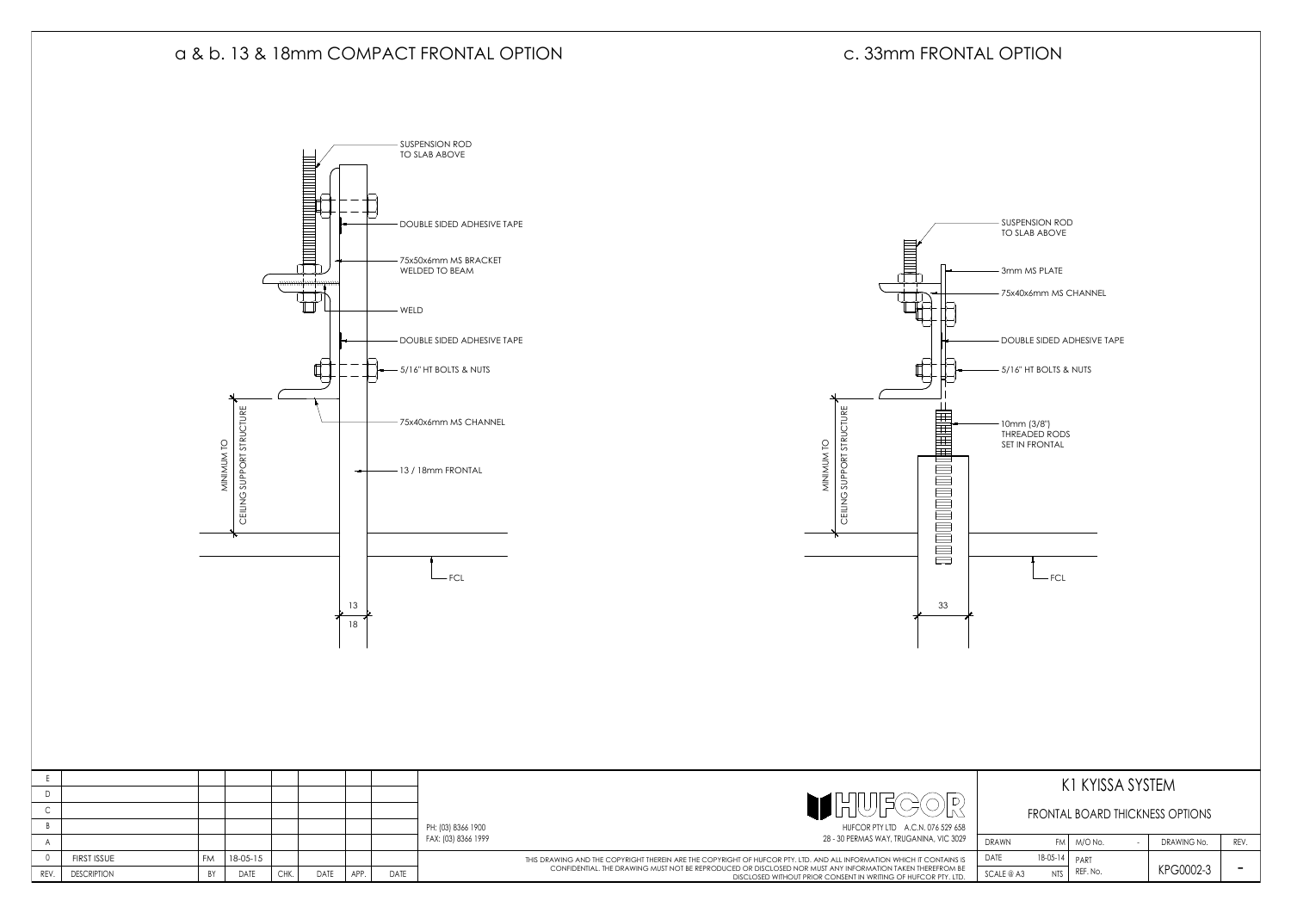|                    |    |             |      |      |      |      |                     |                                                                                                                                                                             |                                 | KI KYISSA SYSTEM                     |  |             |      |
|--------------------|----|-------------|------|------|------|------|---------------------|-----------------------------------------------------------------------------------------------------------------------------------------------------------------------------|---------------------------------|--------------------------------------|--|-------------|------|
|                    |    |             |      |      |      |      |                     |                                                                                                                                                                             |                                 |                                      |  |             |      |
|                    |    |             |      |      |      |      |                     |                                                                                                                                                                             | FRONTAL BOARD THICKNESS OPTIONS |                                      |  |             |      |
|                    |    |             |      |      |      |      | PH: (03) 8366 1900  | HUFCOR PTY LTD A.C.N. 076 529 658                                                                                                                                           |                                 |                                      |  |             |      |
|                    |    |             |      |      |      |      | FAX: (03) 8366 1999 | 28 - 30 PERMAS WAY, TRUGANINA, VIC 3029                                                                                                                                     | <b>DRAWN</b>                    | $FM$ $M/O$ No.                       |  | DRAWING No. | REV. |
| <b>FIRST ISSUE</b> | FM | 18-05-15    |      |      |      |      |                     | THIS DRAWING AND THE COPYRIGHT THEREIN ARE THE COPYRIGHT OF HUFCOR PTY. LTD. AND ALL INFORMATION WHICH IT CONTAINS IS                                                       | DATE                            | $18-05-14$ PART                      |  |             |      |
| <b>DESCRIPTION</b> |    | <b>DATE</b> | CHK. | DATE | APP. | DATE |                     | CONFIDENTIAL. THE DRAWING MUST NOT BE REPRODUCED OR DISCLOSED NOR MUST ANY INFORMATION TAKEN THEREFROM BE<br>DISCLOSED WITHOUT PRIOR CONSENT IN WRITING OF HUFCOR PTY. LTD. |                                 | REF. No.<br><b>NTS</b><br>SCALE @ A3 |  | KPG0002-3   |      |

FCL 10MM (3/8")<br>
THREADED ADDREADED ADHESIVE TAPE<br>
TOUBLE SIDED ADHESIVE TAPE<br>
S/16" HT BOLTS & NUTS<br>
10mm (3/8")<br>
THREADED RODS<br>
SET IN FRONTAL<br>
TO TO TO SLAB ABOVE<br>
THREADED RODS<br>
THEADED ROD SLAB ABOVE